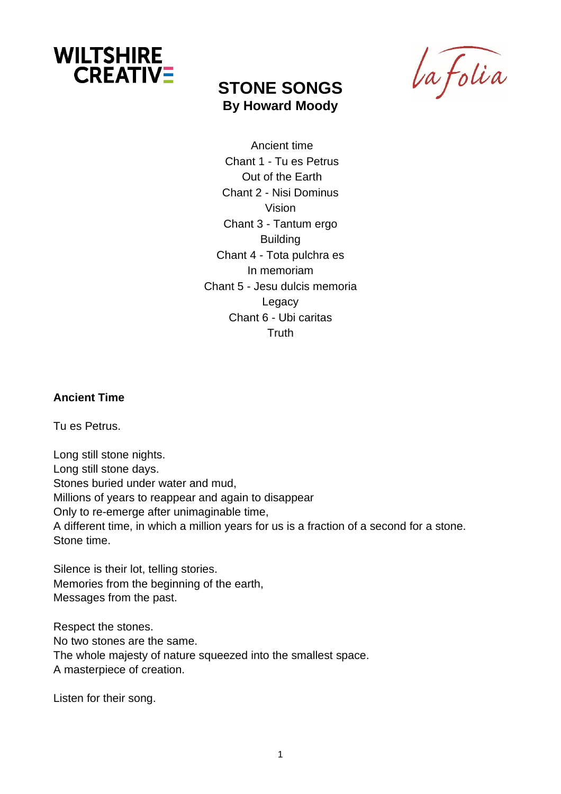

# **STONE SONGS By Howard Moody**

La folia

Ancient time Chant 1 - Tu es Petrus Out of the Earth Chant 2 - Nisi Dominus Vision Chant 3 - Tantum ergo Building Chant 4 - Tota pulchra es In memoriam Chant 5 - Jesu dulcis memoria Legacy Chant 6 - Ubi caritas **Truth** 

#### **Ancient Time**

Tu es Petrus.

Long still stone nights. Long still stone days. Stones buried under water and mud, Millions of years to reappear and again to disappear Only to re-emerge after unimaginable time, A different time, in which a million years for us is a fraction of a second for a stone. Stone time.

Silence is their lot, telling stories. Memories from the beginning of the earth, Messages from the past.

Respect the stones. No two stones are the same. The whole majesty of nature squeezed into the smallest space. A masterpiece of creation.

Listen for their song.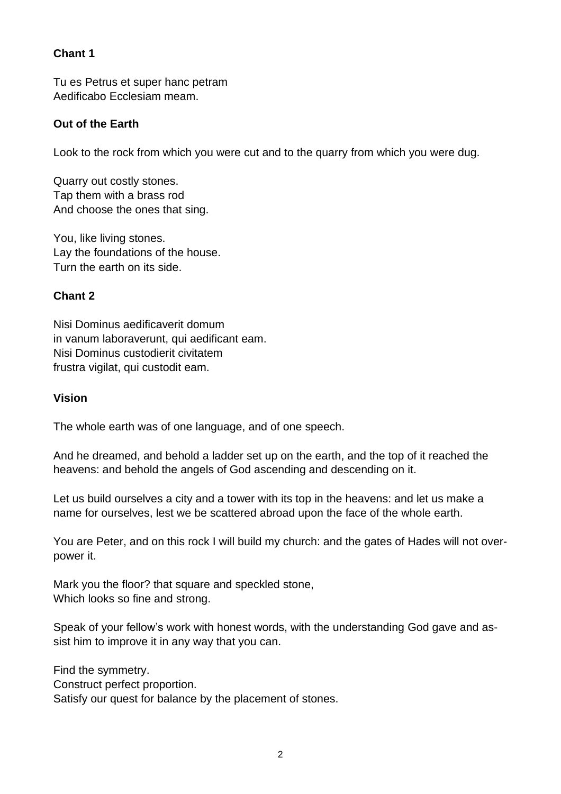## **Chant 1**

Tu es Petrus et super hanc petram Aedificabo Ecclesiam meam.

## **Out of the Earth**

Look to the rock from which you were cut and to the quarry from which you were dug.

Quarry out costly stones. Tap them with a brass rod And choose the ones that sing.

You, like living stones. Lay the foundations of the house. Turn the earth on its side.

### **Chant 2**

Nisi Dominus aedificaverit domum in vanum laboraverunt, qui aedificant eam. Nisi Dominus custodierit civitatem frustra vigilat, qui custodit eam.

### **Vision**

The whole earth was of one language, and of one speech.

And he dreamed, and behold a ladder set up on the earth, and the top of it reached the heavens: and behold the angels of God ascending and descending on it.

Let us build ourselves a city and a tower with its top in the heavens: and let us make a name for ourselves, lest we be scattered abroad upon the face of the whole earth.

You are Peter, and on this rock I will build my church: and the gates of Hades will not overpower it.

Mark you the floor? that square and speckled stone, Which looks so fine and strong.

Speak of your fellow's work with honest words, with the understanding God gave and assist him to improve it in any way that you can.

Find the symmetry. Construct perfect proportion.

Satisfy our quest for balance by the placement of stones.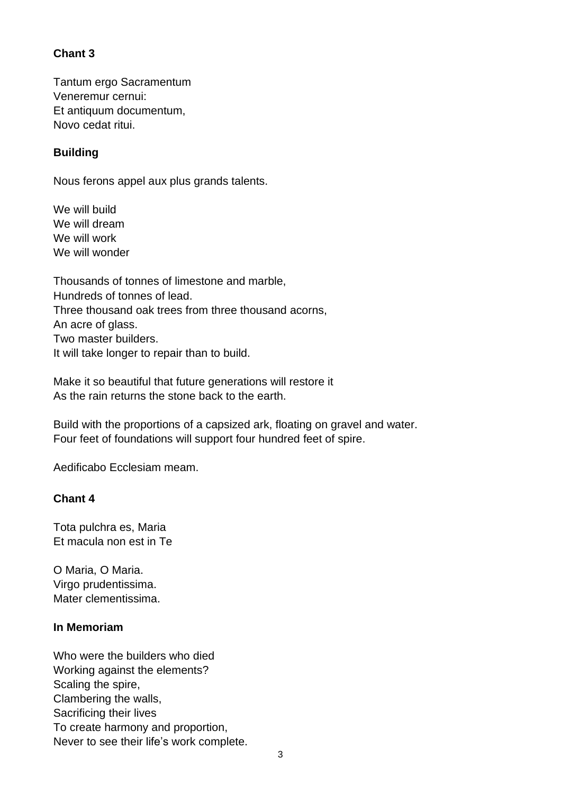## **Chant 3**

Tantum ergo Sacramentum Veneremur cernui: Et antiquum documentum, Novo cedat ritui.

## **Building**

Nous ferons appel aux plus grands talents.

We will build We will dream We will work We will wonder

Thousands of tonnes of limestone and marble, Hundreds of tonnes of lead. Three thousand oak trees from three thousand acorns, An acre of glass. Two master builders. It will take longer to repair than to build.

Make it so beautiful that future generations will restore it As the rain returns the stone back to the earth.

Build with the proportions of a capsized ark, floating on gravel and water. Four feet of foundations will support four hundred feet of spire.

Aedificabo Ecclesiam meam.

### **Chant 4**

Tota pulchra es, Maria Et macula non est in Te

O Maria, O Maria. Virgo prudentissima. Mater clementissima.

### **In Memoriam**

Who were the builders who died Working against the elements? Scaling the spire, Clambering the walls, Sacrificing their lives To create harmony and proportion, Never to see their life's work complete.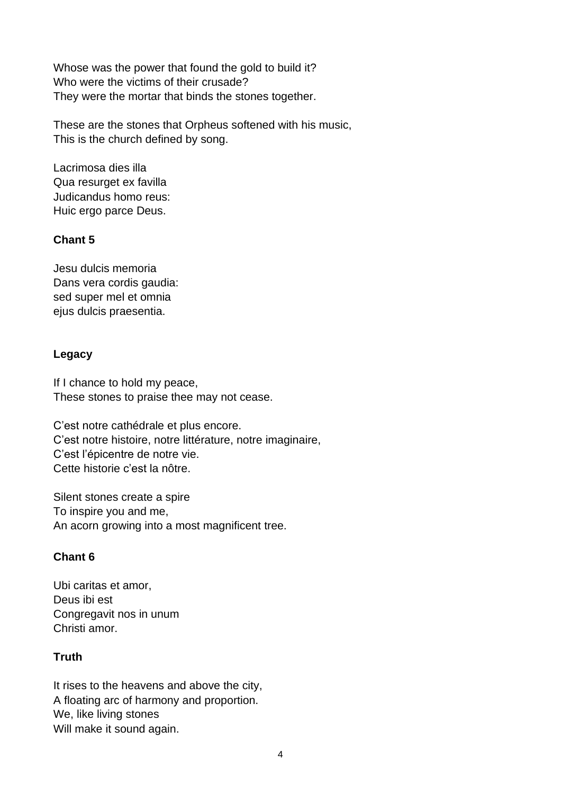Whose was the power that found the gold to build it? Who were the victims of their crusade? They were the mortar that binds the stones together.

These are the stones that Orpheus softened with his music, This is the church defined by song.

Lacrimosa dies illa Qua resurget ex favilla Judicandus homo reus: Huic ergo parce Deus.

### **Chant 5**

Jesu dulcis memoria Dans vera cordis gaudia: sed super mel et omnia ejus dulcis praesentia.

## **Legacy**

If I chance to hold my peace, These stones to praise thee may not cease.

C'est notre cathédrale et plus encore. C'est notre histoire, notre littérature, notre imaginaire, C'est l'épicentre de notre vie. Cette historie c'est la nôtre.

Silent stones create a spire To inspire you and me, An acorn growing into a most magnificent tree.

# **Chant 6**

Ubi caritas et amor, Deus ibi est Congregavit nos in unum Christi amor.

# **Truth**

It rises to the heavens and above the city, A floating arc of harmony and proportion. We, like living stones Will make it sound again.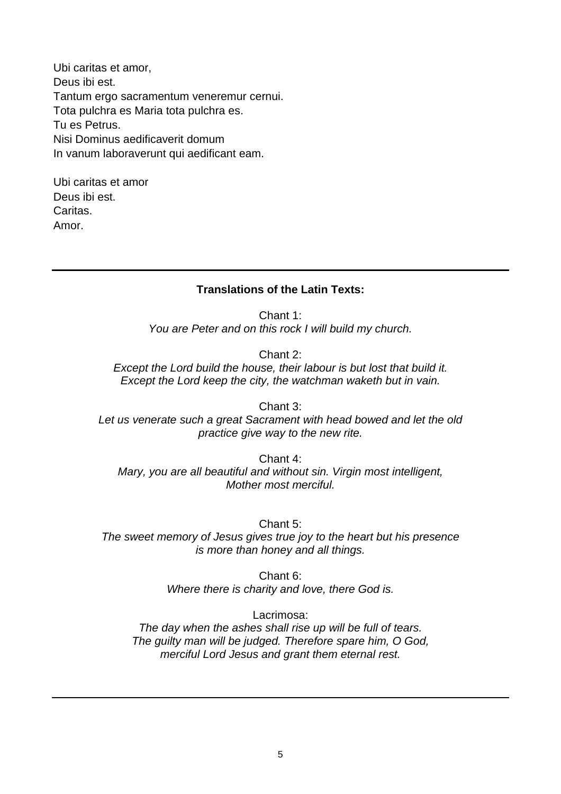Ubi caritas et amor, Deus ibi est. Tantum ergo sacramentum veneremur cernui. Tota pulchra es Maria tota pulchra es. Tu es Petrus. Nisi Dominus aedificaverit domum In vanum laboraverunt qui aedificant eam.

Ubi caritas et amor Deus ibi est. Caritas. Amor.

#### **Translations of the Latin Texts:**

Chant 1: *You are Peter and on this rock I will build my church.*

Chant 2:

*Except the Lord build the house, their labour is but lost that build it. Except the Lord keep the city, the watchman waketh but in vain.*

Chant 3: *Let us venerate such a great Sacrament with head bowed and let the old practice give way to the new rite.*

Chant 4: *Mary, you are all beautiful and without sin. Virgin most intelligent, Mother most merciful.*

Chant 5: *The sweet memory of Jesus gives true joy to the heart but his presence is more than honey and all things.*

> Chant 6: *Where there is charity and love, there God is.*

Lacrimosa: *The day when the ashes shall rise up will be full of tears. The guilty man will be judged. Therefore spare him, O God, merciful Lord Jesus and grant them eternal rest.*